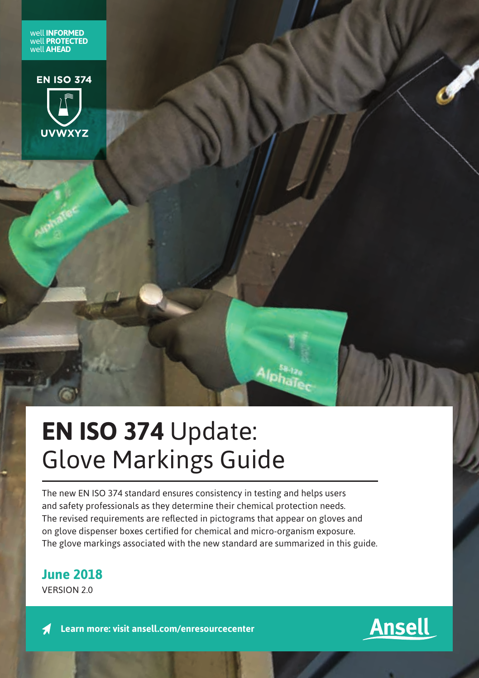well **INFORMED** well **PROTECTED** well **AHEAD**



# **EN ISO 374** Update: Glove Markings Guide

The new EN ISO 374 standard ensures consistency in testing and helps users and safety professionals as they determine their chemical protection needs. The revised requirements are reflected in pictograms that appear on gloves and on glove dispenser boxes certified for chemical and micro-organism exposure. The glove markings associated with the new standard are summarized in this guide.

**June 2018**

VERSION 2.0

**Learn more: visit ansell.com/enresourcecenter**

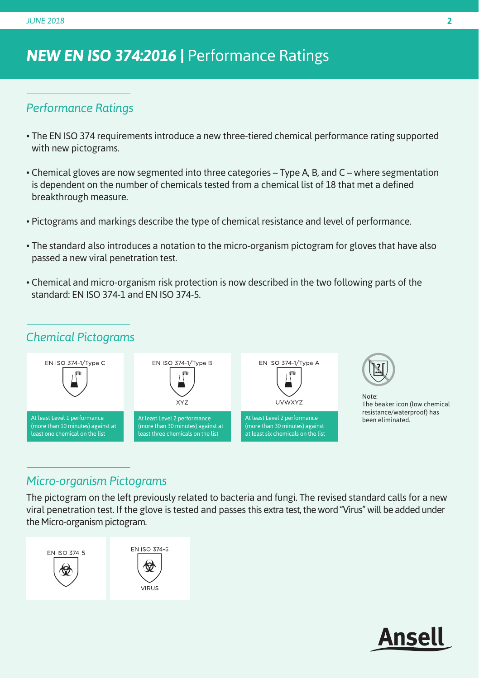# *NEW EN ISO 374:2016 |* Performance Ratings

#### *Performance Ratings*

- The EN ISO 374 requirements introduce a new three-tiered chemical performance rating supported with new pictograms.
- Chemical gloves are now segmented into three categories Type A, B, and C where segmentation is dependent on the number of chemicals tested from a chemical list of 18 that met a defined breakthrough measure.
- Pictograms and markings describe the type of chemical resistance and level of performance.
- The standard also introduces a notation to the micro-organism pictogram for gloves that have also passed a new viral penetration test.
- Chemical and micro-organism risk protection is now described in the two following parts of the standard: EN ISO 374-1 and EN ISO 374-5.

#### *Chemical Pictograms*



### *Micro-organism Pictograms*

The pictogram on the left previously related to bacteria and fungi. The revised standard calls for a new viral penetration test. If the glove is tested and passes this extra test, the word "Virus" will be added under the Micro-organism pictogram.

EN ISO 374-5 EN ISO 374-5 VIRUS

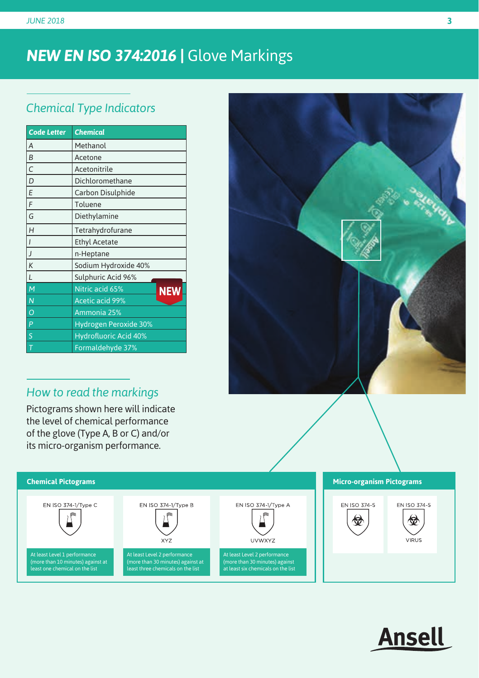# *NEW EN ISO 374:2016 |* Glove Markings

## *Chemical Type Indicators*

| <b>Code Letter</b> | <b>Chemical</b>               |
|--------------------|-------------------------------|
| $\overline{A}$     | Methanol                      |
| B                  | Acetone                       |
| $\mathcal{C}$      | Acetonitrile                  |
| D                  | Dichloromethane               |
| E                  | Carbon Disulphide             |
| F                  | Toluene                       |
| G                  | Diethylamine                  |
| H                  | Tetrahydrofurane              |
| I                  | <b>Ethyl Acetate</b>          |
| J                  | n-Heptane                     |
| K                  | Sodium Hydroxide 40%          |
| L                  | Sulphuric Acid 96%            |
| M                  | Nitric acid 65%<br><b>NEW</b> |
| $\overline{N}$     | <b>Acetic acid 99%</b>        |
| $\Omega$           | Ammonia 25%                   |
| P                  | <b>Hydrogen Peroxide 30%</b>  |
| S                  | <b>Hydrofluoric Acid 40%</b>  |
| Τ                  | Formaldehyde 37%              |

## *How to read the markings*

Pictograms shown here will indicate the level of chemical performance of the glove (Type A, B or C) and/or its micro-organism performance.